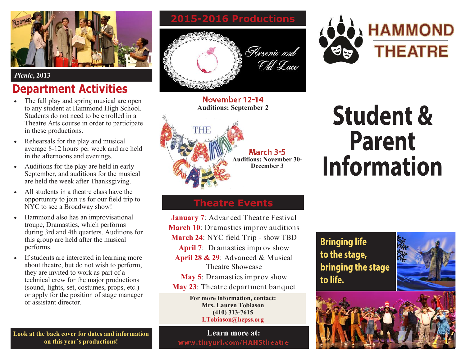

#### *Picnic***, 2013**

# **Department Activities**

- The fall play and spring musical are open to any student at Hammond High School. Students do not need to be enrolled in a Theatre Arts course in order to participate in these productions.
- Rehearsals for the play and musical average 8-12 hours per week and are held in the afternoons and evenings.
- Auditions for the play are held in early September, and auditions for the musical are held the week after Thanksgiving.
- All students in a theatre class have the opportunity to join us for our field trip to NYC to see a Broadway show!
- Hammond also has an improvisational troupe, Dramastics, which performs during 3rd and 4th quarters. Auditions for this group are held after the musical performs.
- If students are interested in learning more about theatre, but do not wish to perform, they are invited to work as part of a technical crew for the major productions (sound, lights, set, costumes, props, etc.) or apply for the position of stage manager or assistant director.

**Look at the back cover for dates and information on this year's productions!**

**2015-2016 Productions**



**November 12-14 Auditions: September 2** 



**Student & Parent Information** 

**HAMMOND** 

**THEATRE** 

#### **Theatre Events**

**January 7**: Advanced Theatre Festival **March 10**: Dramastics improv auditions **March 24**: NYC field Trip - show TBD **April 7**: Dramastics improv show **April 28 & 29**: Advanced & Musical Theatre Showcase

- **May 5**: Dramastics improv show
- **May 23**: Theatre department banquet

**For more information, contact: Mrs. Lauren Tobiason (410) 313-7615 LTobiason@hcpss.org** 

#### **Learn more at:** www.tinyurl.com/HAHStheatre

#### **Bringing life** to the stage, bringing the stage to life.